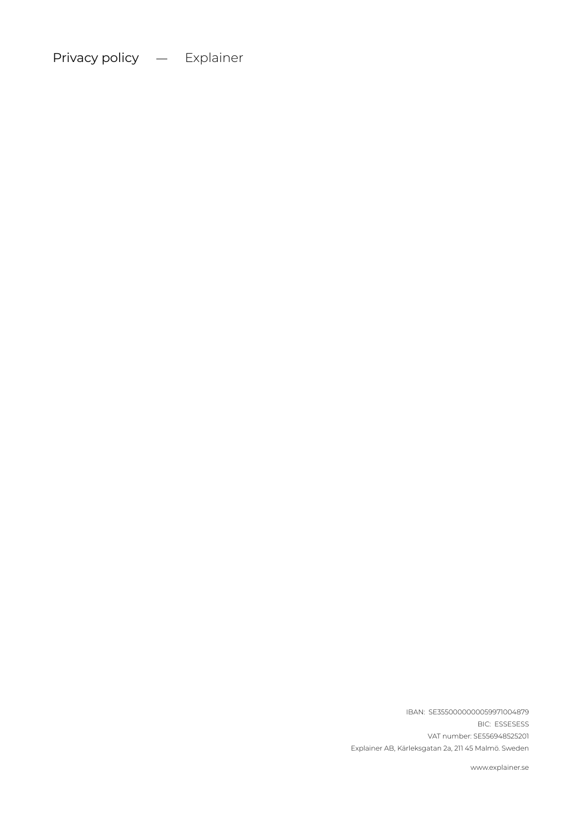Privacy policy - Explainer

VAT number: SE556948525201 Explainer AB, Kärleksgatan 2a, 211 45 Malmö. Sweden BIC: ESSESESS IBAN: SE3550000000059971004879

www.explainer.se